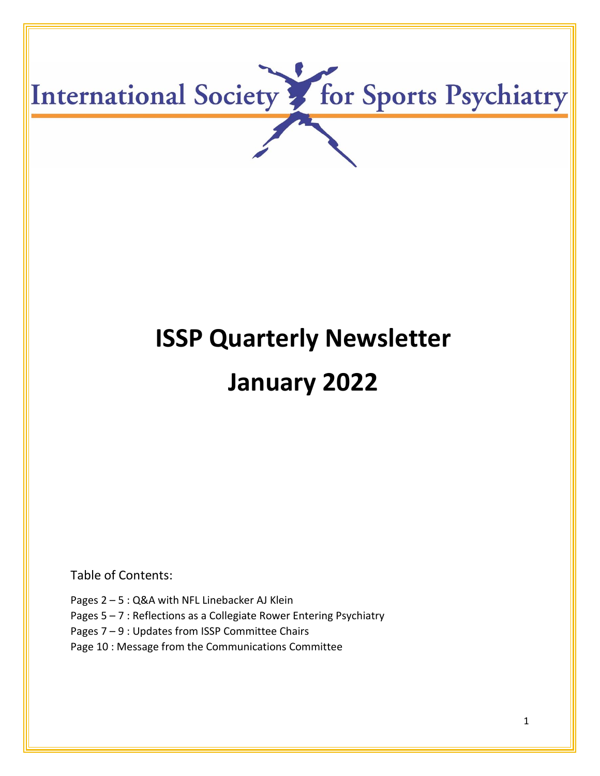

# **ISSP Quarterly Newsletter January 2022**

Table of Contents:

Pages 2 – 5 : Q&A with NFL Linebacker AJ Klein

- Pages 5 7 : Reflections as a Collegiate Rower Entering Psychiatry
- Pages 7 9 : Updates from ISSP Committee Chairs
- Page 10 : Message from the Communications Committee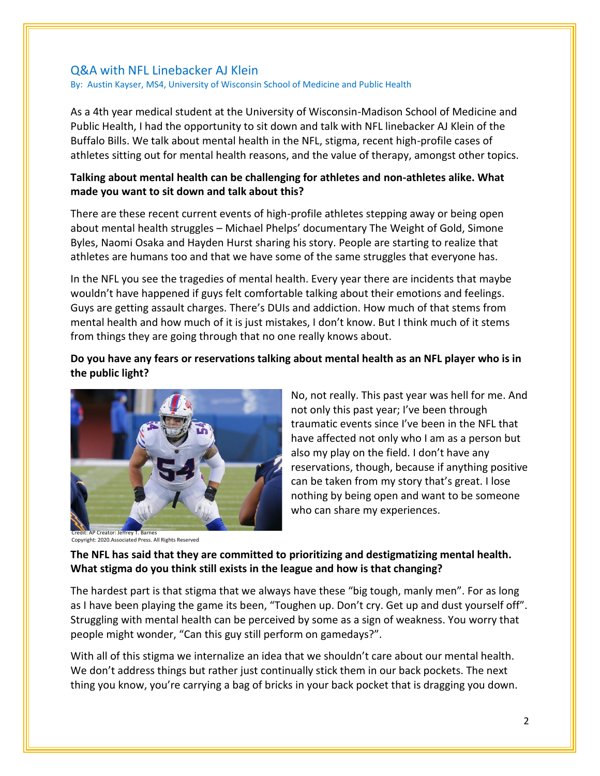# Q&A with NFL Linebacker AJ Klein

By: Austin Kayser, MS4, University of Wisconsin School of Medicine and Public Health

As a 4th year medical student at the University of Wisconsin-Madison School of Medicine and Public Health, I had the opportunity to sit down and talk with NFL linebacker AJ Klein of the Buffalo Bills. We talk about mental health in the NFL, stigma, recent high-profile cases of athletes sitting out for mental health reasons, and the value of therapy, amongst other topics.

# **Talking about mental health can be challenging for athletes and non-athletes alike. What made you want to sit down and talk about this?**

There are these recent current events of high-profile athletes stepping away or being open about mental health struggles – Michael Phelps' documentary The Weight of Gold, Simone Byles, Naomi Osaka and Hayden Hurst sharing his story. People are starting to realize that athletes are humans too and that we have some of the same struggles that everyone has.

In the NFL you see the tragedies of mental health. Every year there are incidents that maybe wouldn't have happened if guys felt comfortable talking about their emotions and feelings. Guys are getting assault charges. There's DUIs and addiction. How much of that stems from mental health and how much of it is just mistakes, I don't know. But I think much of it stems from things they are going through that no one really knows about.

# **Do you have any fears or reservations talking about mental health as an NFL player who is in the public light?**



Copyright: 2020.Associated Press. All Rights Reserved

No, not really. This past year was hell for me. And not only this past year; I've been through traumatic events since I've been in the NFL that have affected not only who I am as a person but also my play on the field. I don't have any reservations, though, because if anything positive can be taken from my story that's great. I lose nothing by being open and want to be someone who can share my experiences.

# **The NFL has said that they are committed to prioritizing and destigmatizing mental health. What stigma do you think still exists in the league and how is that changing?**

The hardest part is that stigma that we always have these "big tough, manly men". For as long as I have been playing the game its been, "Toughen up. Don't cry. Get up and dust yourself off". Struggling with mental health can be perceived by some as a sign of weakness. You worry that people might wonder, "Can this guy still perform on gamedays?".

With all of this stigma we internalize an idea that we shouldn't care about our mental health. We don't address things but rather just continually stick them in our back pockets. The next thing you know, you're carrying a bag of bricks in your back pocket that is dragging you down.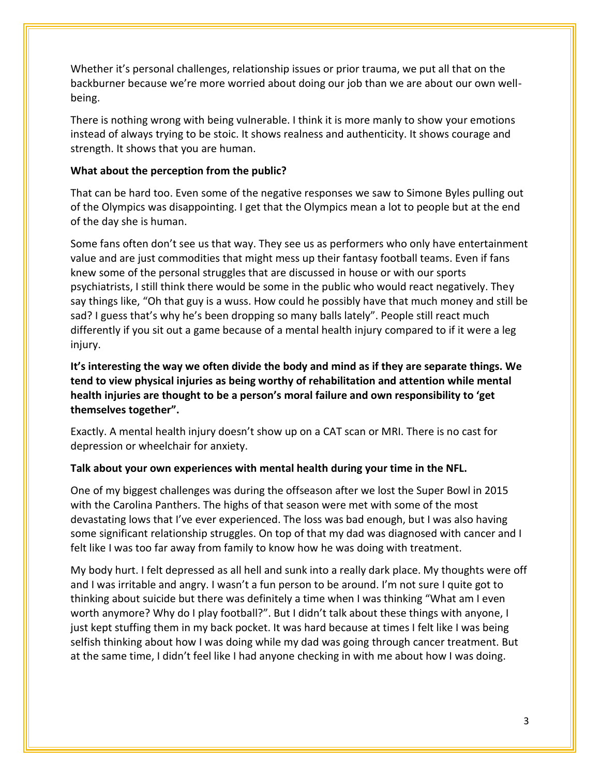Whether it's personal challenges, relationship issues or prior trauma, we put all that on the backburner because we're more worried about doing our job than we are about our own wellbeing.

There is nothing wrong with being vulnerable. I think it is more manly to show your emotions instead of always trying to be stoic. It shows realness and authenticity. It shows courage and strength. It shows that you are human.

# **What about the perception from the public?**

That can be hard too. Even some of the negative responses we saw to Simone Byles pulling out of the Olympics was disappointing. I get that the Olympics mean a lot to people but at the end of the day she is human.

Some fans often don't see us that way. They see us as performers who only have entertainment value and are just commodities that might mess up their fantasy football teams. Even if fans knew some of the personal struggles that are discussed in house or with our sports psychiatrists, I still think there would be some in the public who would react negatively. They say things like, "Oh that guy is a wuss. How could he possibly have that much money and still be sad? I guess that's why he's been dropping so many balls lately". People still react much differently if you sit out a game because of a mental health injury compared to if it were a leg injury.

**It's interesting the way we often divide the body and mind as if they are separate things. We tend to view physical injuries as being worthy of rehabilitation and attention while mental health injuries are thought to be a person's moral failure and own responsibility to 'get themselves together".**

Exactly. A mental health injury doesn't show up on a CAT scan or MRI. There is no cast for depression or wheelchair for anxiety.

# **Talk about your own experiences with mental health during your time in the NFL.**

One of my biggest challenges was during the offseason after we lost the Super Bowl in 2015 with the Carolina Panthers. The highs of that season were met with some of the most devastating lows that I've ever experienced. The loss was bad enough, but I was also having some significant relationship struggles. On top of that my dad was diagnosed with cancer and I felt like I was too far away from family to know how he was doing with treatment.

My body hurt. I felt depressed as all hell and sunk into a really dark place. My thoughts were off and I was irritable and angry. I wasn't a fun person to be around. I'm not sure I quite got to thinking about suicide but there was definitely a time when I was thinking "What am I even worth anymore? Why do I play football?". But I didn't talk about these things with anyone, I just kept stuffing them in my back pocket. It was hard because at times I felt like I was being selfish thinking about how I was doing while my dad was going through cancer treatment. But at the same time, I didn't feel like I had anyone checking in with me about how I was doing.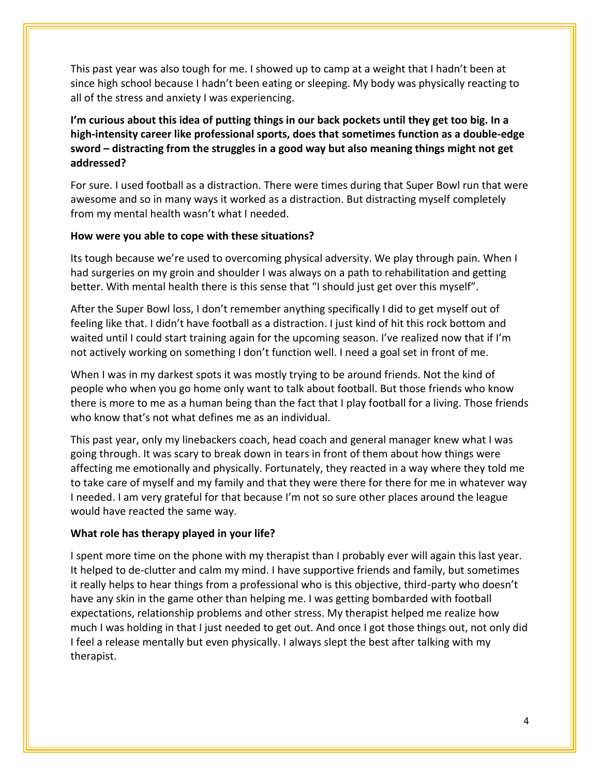This past year was also tough for me. I showed up to camp at a weight that I hadn't been at since high school because I hadn't been eating or sleeping. My body was physically reacting to all of the stress and anxiety I was experiencing.

**I'm curious about this idea of putting things in our back pockets until they get too big. In a high-intensity career like professional sports, does that sometimes function as a double-edge sword – distracting from the struggles in a good way but also meaning things might not get addressed?**

For sure. I used football as a distraction. There were times during that Super Bowl run that were awesome and so in many ways it worked as a distraction. But distracting myself completely from my mental health wasn't what I needed.

## **How were you able to cope with these situations?**

Its tough because we're used to overcoming physical adversity. We play through pain. When I had surgeries on my groin and shoulder I was always on a path to rehabilitation and getting better. With mental health there is this sense that "I should just get over this myself".

After the Super Bowl loss, I don't remember anything specifically I did to get myself out of feeling like that. I didn't have football as a distraction. I just kind of hit this rock bottom and waited until I could start training again for the upcoming season. I've realized now that if I'm not actively working on something I don't function well. I need a goal set in front of me.

When I was in my darkest spots it was mostly trying to be around friends. Not the kind of people who when you go home only want to talk about football. But those friends who know there is more to me as a human being than the fact that I play football for a living. Those friends who know that's not what defines me as an individual.

This past year, only my linebackers coach, head coach and general manager knew what I was going through. It was scary to break down in tears in front of them about how things were affecting me emotionally and physically. Fortunately, they reacted in a way where they told me to take care of myself and my family and that they were there for there for me in whatever way I needed. I am very grateful for that because I'm not so sure other places around the league would have reacted the same way.

## **What role has therapy played in your life?**

I spent more time on the phone with my therapist than I probably ever will again this last year. It helped to de-clutter and calm my mind. I have supportive friends and family, but sometimes it really helps to hear things from a professional who is this objective, third-party who doesn't have any skin in the game other than helping me. I was getting bombarded with football expectations, relationship problems and other stress. My therapist helped me realize how much I was holding in that I just needed to get out. And once I got those things out, not only did I feel a release mentally but even physically. I always slept the best after talking with my therapist.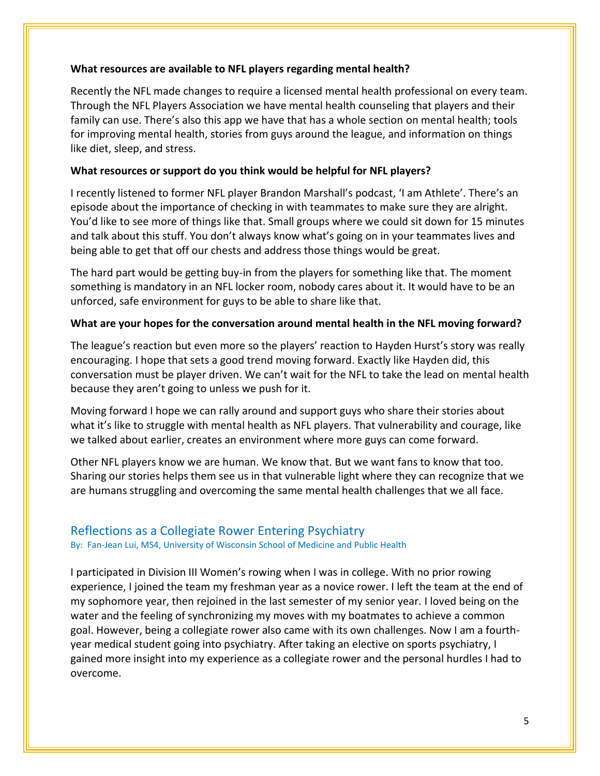### **What resources are available to NFL players regarding mental health?**

Recently the NFL made changes to require a licensed mental health professional on every team. Through the NFL Players Association we have mental health counseling that players and their family can use. There's also this app we have that has a whole section on mental health; tools for improving mental health, stories from guys around the league, and information on things like diet, sleep, and stress.

# **What resources or support do you think would be helpful for NFL players?**

I recently listened to former NFL player Brandon Marshall's podcast, 'I am Athlete'. There's an episode about the importance of checking in with teammates to make sure they are alright. You'd like to see more of things like that. Small groups where we could sit down for 15 minutes and talk about this stuff. You don't always know what's going on in your teammates lives and being able to get that off our chests and address those things would be great.

The hard part would be getting buy-in from the players for something like that. The moment something is mandatory in an NFL locker room, nobody cares about it. It would have to be an unforced, safe environment for guys to be able to share like that.

# **What are your hopes for the conversation around mental health in the NFL moving forward?**

The league's reaction but even more so the players' reaction to Hayden Hurst's story was really encouraging. I hope that sets a good trend moving forward. Exactly like Hayden did, this conversation must be player driven. We can't wait for the NFL to take the lead on mental health because they aren't going to unless we push for it.

Moving forward I hope we can rally around and support guys who share their stories about what it's like to struggle with mental health as NFL players. That vulnerability and courage, like we talked about earlier, creates an environment where more guys can come forward.

Other NFL players know we are human. We know that. But we want fans to know that too. Sharing our stories helps them see us in that vulnerable light where they can recognize that we are humans struggling and overcoming the same mental health challenges that we all face.

# Reflections as a Collegiate Rower Entering Psychiatry

By: Fan-Jean Lui, MS4, University of Wisconsin School of Medicine and Public Health

I participated in Division III Women's rowing when I was in college. With no prior rowing experience, I joined the team my freshman year as a novice rower. I left the team at the end of my sophomore year, then rejoined in the last semester of my senior year. I loved being on the water and the feeling of synchronizing my moves with my boatmates to achieve a common goal. However, being a collegiate rower also came with its own challenges. Now I am a fourthyear medical student going into psychiatry. After taking an elective on sports psychiatry, I gained more insight into my experience as a collegiate rower and the personal hurdles I had to overcome.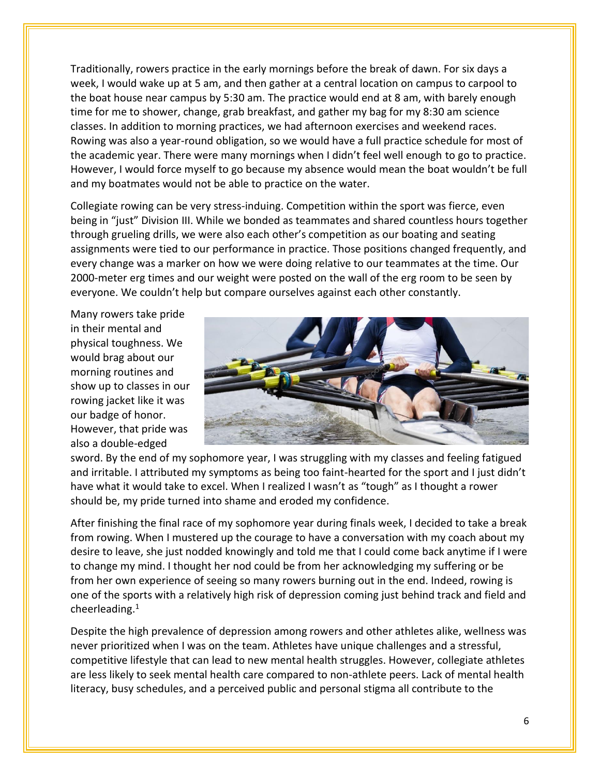Traditionally, rowers practice in the early mornings before the break of dawn. For six days a week, I would wake up at 5 am, and then gather at a central location on campus to carpool to the boat house near campus by 5:30 am. The practice would end at 8 am, with barely enough time for me to shower, change, grab breakfast, and gather my bag for my 8:30 am science classes. In addition to morning practices, we had afternoon exercises and weekend races. Rowing was also a year-round obligation, so we would have a full practice schedule for most of the academic year. There were many mornings when I didn't feel well enough to go to practice. However, I would force myself to go because my absence would mean the boat wouldn't be full and my boatmates would not be able to practice on the water.

Collegiate rowing can be very stress-induing. Competition within the sport was fierce, even being in "just" Division III. While we bonded as teammates and shared countless hours together through grueling drills, we were also each other's competition as our boating and seating assignments were tied to our performance in practice. Those positions changed frequently, and every change was a marker on how we were doing relative to our teammates at the time. Our 2000-meter erg times and our weight were posted on the wall of the erg room to be seen by everyone. We couldn't help but compare ourselves against each other constantly.

Many rowers take pride in their mental and physical toughness. We would brag about our morning routines and show up to classes in our rowing jacket like it was our badge of honor. However, that pride was also a double-edged



sword. By the end of my sophomore year, I was struggling with my classes and feeling fatigued and irritable. I attributed my symptoms as being too faint-hearted for the sport and I just didn't have what it would take to excel. When I realized I wasn't as "tough" as I thought a rower should be, my pride turned into shame and eroded my confidence.

After finishing the final race of my sophomore year during finals week, I decided to take a break from rowing. When I mustered up the courage to have a conversation with my coach about my desire to leave, she just nodded knowingly and told me that I could come back anytime if I were to change my mind. I thought her nod could be from her acknowledging my suffering or be from her own experience of seeing so many rowers burning out in the end. Indeed, rowing is one of the sports with a relatively high risk of depression coming just behind track and field and cheerleading.<sup>1</sup>

Despite the high prevalence of depression among rowers and other athletes alike, wellness was never prioritized when I was on the team. Athletes have unique challenges and a stressful, competitive lifestyle that can lead to new mental health struggles. However, collegiate athletes are less likely to seek mental health care compared to non-athlete peers. Lack of mental health literacy, busy schedules, and a perceived public and personal stigma all contribute to the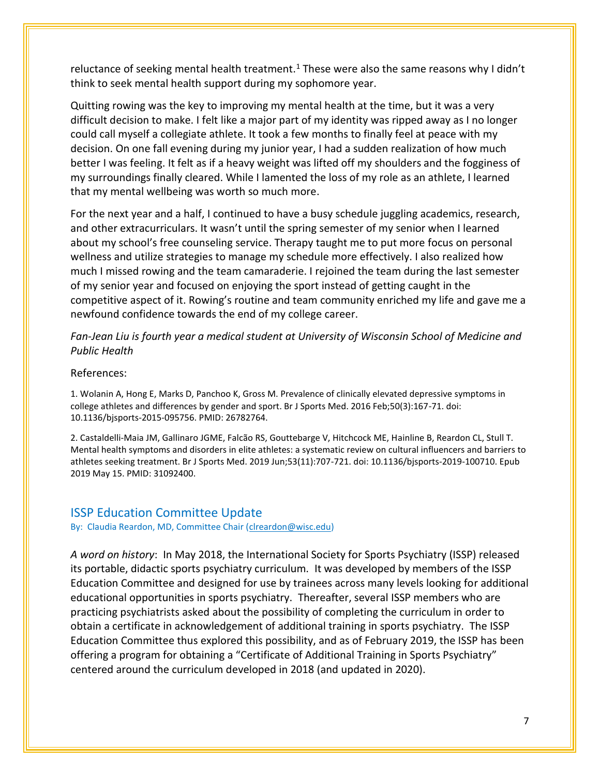reluctance of seeking mental health treatment.<sup>1</sup> These were also the same reasons why I didn't think to seek mental health support during my sophomore year.

Quitting rowing was the key to improving my mental health at the time, but it was a very difficult decision to make. I felt like a major part of my identity was ripped away as I no longer could call myself a collegiate athlete. It took a few months to finally feel at peace with my decision. On one fall evening during my junior year, I had a sudden realization of how much better I was feeling. It felt as if a heavy weight was lifted off my shoulders and the fogginess of my surroundings finally cleared. While I lamented the loss of my role as an athlete, I learned that my mental wellbeing was worth so much more.

For the next year and a half, I continued to have a busy schedule juggling academics, research, and other extracurriculars. It wasn't until the spring semester of my senior when I learned about my school's free counseling service. Therapy taught me to put more focus on personal wellness and utilize strategies to manage my schedule more effectively. I also realized how much I missed rowing and the team camaraderie. I rejoined the team during the last semester of my senior year and focused on enjoying the sport instead of getting caught in the competitive aspect of it. Rowing's routine and team community enriched my life and gave me a newfound confidence towards the end of my college career.

*Fan-Jean Liu is fourth year a medical student at University of Wisconsin School of Medicine and Public Health* 

#### References:

1. Wolanin A, Hong E, Marks D, Panchoo K, Gross M. Prevalence of clinically elevated depressive symptoms in college athletes and differences by gender and sport. Br J Sports Med. 2016 Feb;50(3):167-71. doi: 10.1136/bjsports-2015-095756. PMID: 26782764.

2. Castaldelli-Maia JM, Gallinaro JGME, Falcão RS, Gouttebarge V, Hitchcock ME, Hainline B, Reardon CL, Stull T. Mental health symptoms and disorders in elite athletes: a systematic review on cultural influencers and barriers to athletes seeking treatment. Br J Sports Med. 2019 Jun;53(11):707-721. doi: 10.1136/bjsports-2019-100710. Epub 2019 May 15. PMID: 31092400.

#### ISSP Education Committee Update

By: Claudia Reardon, MD, Committee Chair [\(clreardon@wisc.edu\)](mailto:clreardon@wisc.edu)

*A word on history*: In May 2018, the International Society for Sports Psychiatry (ISSP) released its portable, didactic sports psychiatry curriculum. It was developed by members of the ISSP Education Committee and designed for use by trainees across many levels looking for additional educational opportunities in sports psychiatry. Thereafter, several ISSP members who are practicing psychiatrists asked about the possibility of completing the curriculum in order to obtain a certificate in acknowledgement of additional training in sports psychiatry. The ISSP Education Committee thus explored this possibility, and as of February 2019, the ISSP has been offering a program for obtaining a "Certificate of Additional Training in Sports Psychiatry" centered around the curriculum developed in 2018 (and updated in 2020).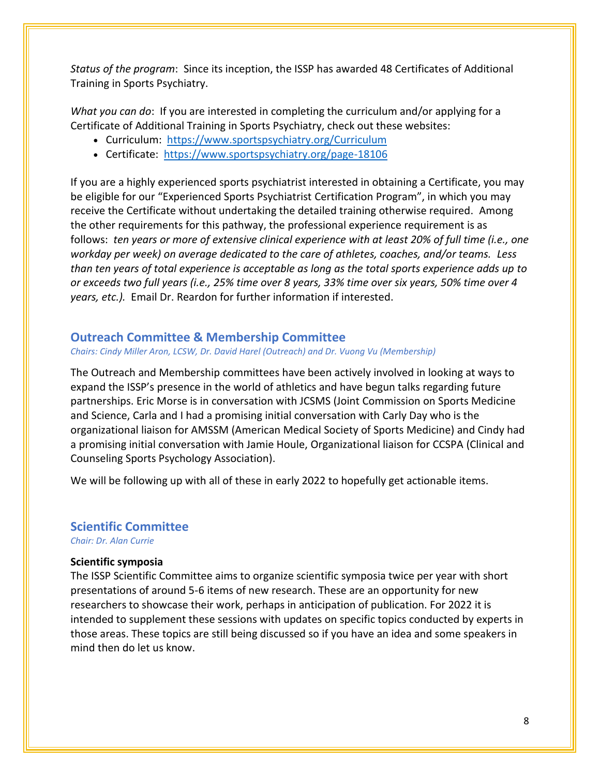*Status of the program*: Since its inception, the ISSP has awarded 48 Certificates of Additional Training in Sports Psychiatry.

*What you can do*: If you are interested in completing the curriculum and/or applying for a Certificate of Additional Training in Sports Psychiatry, check out these websites:

- Curriculum: https://www.sportspsychiatry.org/Curriculum
- Certificate: <https://www.sportspsychiatry.org/page-18106>

If you are a highly experienced sports psychiatrist interested in obtaining a Certificate, you may be eligible for our "Experienced Sports Psychiatrist Certification Program", in which you may receive the Certificate without undertaking the detailed training otherwise required. Among the other requirements for this pathway, the professional experience requirement is as follows: *ten years or more of extensive clinical experience with at least 20% of full time (i.e., one workday per week) on average dedicated to the care of athletes, coaches, and/or teams. Less than ten years of total experience is acceptable as long as the total sports experience adds up to or exceeds two full years (i.e., 25% time over 8 years, 33% time over six years, 50% time over 4 years, etc.).* Email Dr. Reardon for further information if interested.

# **Outreach Committee & Membership Committee**

*Chairs: Cindy Miller Aron, LCSW, Dr. David Harel (Outreach) and Dr. Vuong Vu (Membership)*

The Outreach and Membership committees have been actively involved in looking at ways to expand the ISSP's presence in the world of athletics and have begun talks regarding future partnerships. Eric Morse is in conversation with JCSMS (Joint Commission on Sports Medicine and Science, Carla and I had a promising initial conversation with Carly Day who is the organizational liaison for AMSSM (American Medical Society of Sports Medicine) and Cindy had a promising initial conversation with Jamie Houle, Organizational liaison for CCSPA (Clinical and Counseling Sports Psychology Association).

We will be following up with all of these in early 2022 to hopefully get actionable items.

## **Scientific Committee**

*Chair: Dr. Alan Currie*

#### **Scientific symposia**

The ISSP Scientific Committee aims to organize scientific symposia twice per year with short presentations of around 5-6 items of new research. These are an opportunity for new researchers to showcase their work, perhaps in anticipation of publication. For 2022 it is intended to supplement these sessions with updates on specific topics conducted by experts in those areas. These topics are still being discussed so if you have an idea and some speakers in mind then do let us know.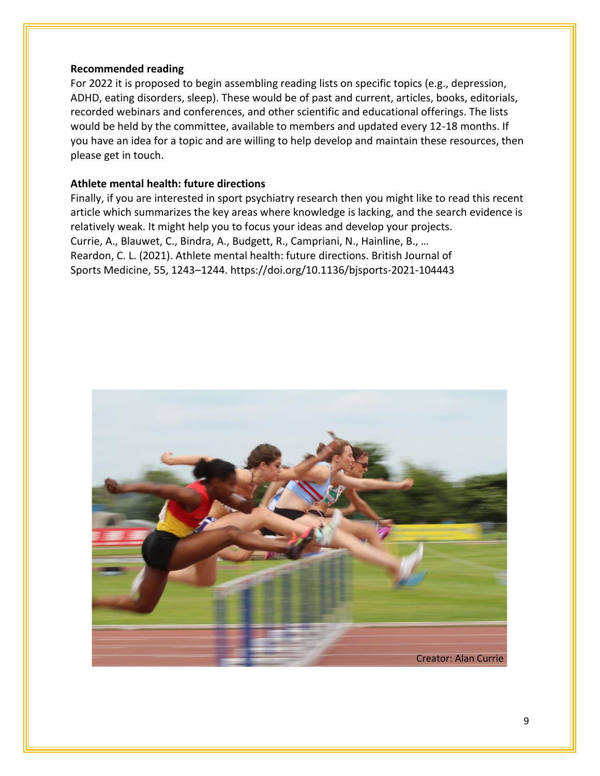#### **Recommended reading**

For 2022 it is proposed to begin assembling reading lists on specific topics (e.g., depression, ADHD, eating disorders, sleep). These would be of past and current, articles, books, editorials, recorded webinars and conferences, and other scientific and educational offerings. The lists would be held by the committee, available to members and updated every 12-18 months. If you have an idea for a topic and are willing to help develop and maintain these resources, then please get in touch.

### **Athlete mental health: future directions**

Finally, if you are interested in sport psychiatry research then you might like to read this recent article which summarizes the key areas where knowledge is lacking, and the search evidence is relatively weak. It might help you to focus your ideas and develop your projects. Currie, A., Blauwet, C., Bindra, A., Budgett, R., Campriani, N., Hainline, B., … Reardon, C. L. (2021). Athlete mental health: future directions. British Journal of Sports Medicine, 55, 1243–1244. https://doi.org/10.1136/bjsports-2021-104443